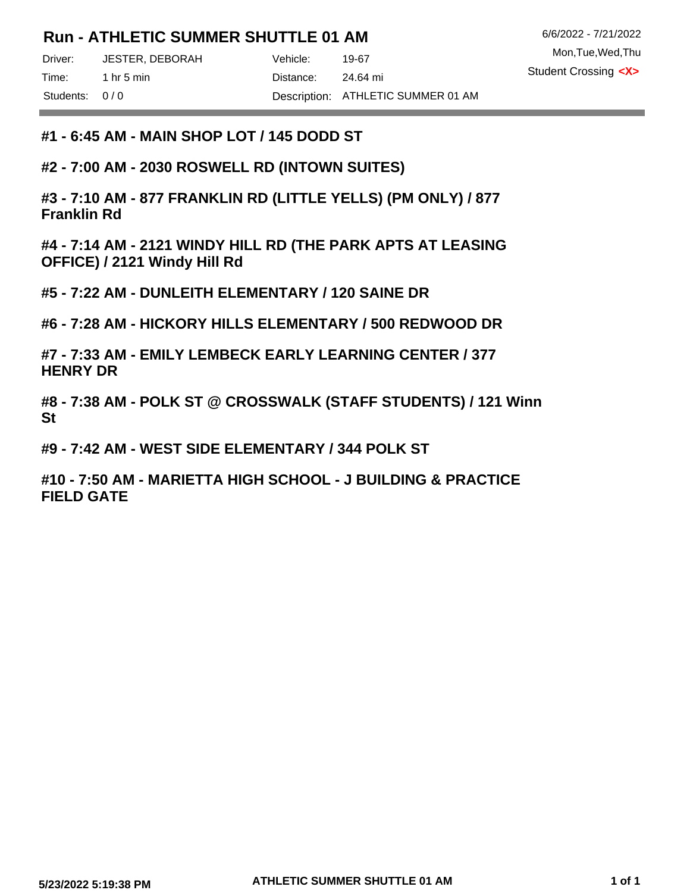# **Run - ATHLETIC SUMMER SHUTTLE 01 AM**

Driver: Vehicle: JESTER, DEBORAH

Students: 0/0

the control of the control of the

**#1 - 6:45 AM - MAIN SHOP LOT / 145 DODD ST**

**#2 - 7:00 AM - 2030 ROSWELL RD (INTOWN SUITES)**

**#3 - 7:10 AM - 877 FRANKLIN RD (LITTLE YELLS) (PM ONLY) / 877 Franklin Rd**

**#4 - 7:14 AM - 2121 WINDY HILL RD (THE PARK APTS AT LEASING OFFICE) / 2121 Windy Hill Rd**

**#5 - 7:22 AM - DUNLEITH ELEMENTARY / 120 SAINE DR**

**#6 - 7:28 AM - HICKORY HILLS ELEMENTARY / 500 REDWOOD DR**

**#7 - 7:33 AM - EMILY LEMBECK EARLY LEARNING CENTER / 377 HENRY DR**

**#8 - 7:38 AM - POLK ST @ CROSSWALK (STAFF STUDENTS) / 121 Winn St**

**#9 - 7:42 AM - WEST SIDE ELEMENTARY / 344 POLK ST**

**#10 - 7:50 AM - MARIETTA HIGH SCHOOL - J BUILDING & PRACTICE FIELD GATE**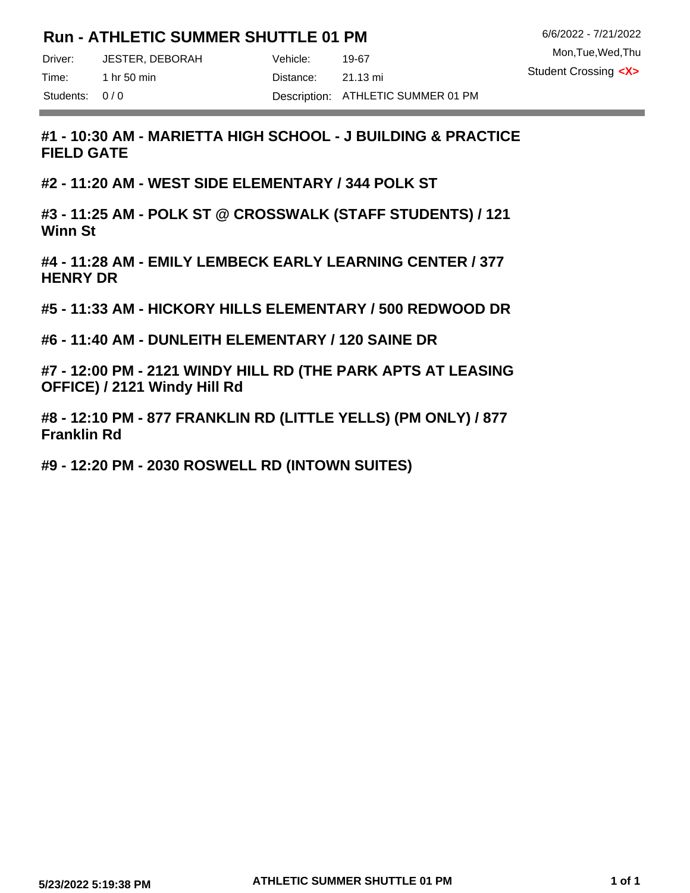# **Run - ATHLETIC SUMMER SHUTTLE 01 PM**

Mon,Tue,Wed,Thu 6/6/2022 - 7/21/2022 Student Crossing **<X>**

Driver: Vehicle: JESTER, DEBORAH

Time: 1 hr 50 min 1 and 1 bistance: Students: 0/0

the control of the control of the

21.13 mi Description: ATHLETIC SUMMER 01 PM

19-67

**#1 - 10:30 AM - MARIETTA HIGH SCHOOL - J BUILDING & PRACTICE FIELD GATE**

**#2 - 11:20 AM - WEST SIDE ELEMENTARY / 344 POLK ST**

**#3 - 11:25 AM - POLK ST @ CROSSWALK (STAFF STUDENTS) / 121 Winn St**

**#4 - 11:28 AM - EMILY LEMBECK EARLY LEARNING CENTER / 377 HENRY DR**

**#5 - 11:33 AM - HICKORY HILLS ELEMENTARY / 500 REDWOOD DR**

**#6 - 11:40 AM - DUNLEITH ELEMENTARY / 120 SAINE DR**

**#7 - 12:00 PM - 2121 WINDY HILL RD (THE PARK APTS AT LEASING OFFICE) / 2121 Windy Hill Rd**

**#8 - 12:10 PM - 877 FRANKLIN RD (LITTLE YELLS) (PM ONLY) / 877 Franklin Rd**

**#9 - 12:20 PM - 2030 ROSWELL RD (INTOWN SUITES)**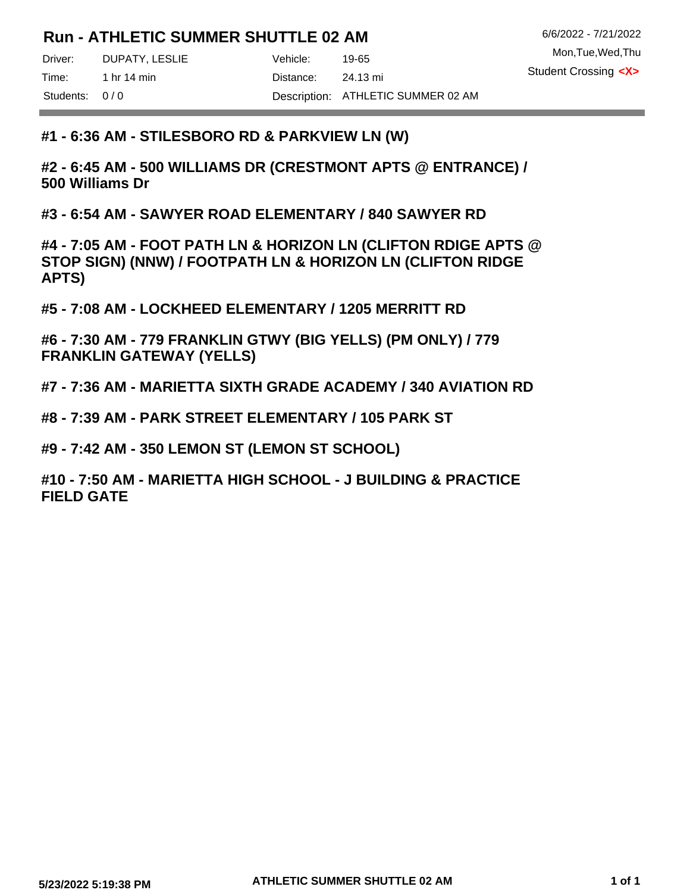# **Run - ATHLETIC SUMMER SHUTTLE 02 AM**

Mon,Tue,Wed,Thu 6/6/2022 - 7/21/2022 Student Crossing **<X>**

Driver: DUPATY, LESLIE Vehicle: Time: 1 hr 14 min 11 min 12 Distance:

Students: 0/0

**The Committee Committee Committee** 

19-65 24.13 mi Description: ATHLETIC SUMMER 02 AM

#### **#1 - 6:36 AM - STILESBORO RD & PARKVIEW LN (W)**

**#2 - 6:45 AM - 500 WILLIAMS DR (CRESTMONT APTS @ ENTRANCE) / 500 Williams Dr**

**#3 - 6:54 AM - SAWYER ROAD ELEMENTARY / 840 SAWYER RD**

**#4 - 7:05 AM - FOOT PATH LN & HORIZON LN (CLIFTON RDIGE APTS @ STOP SIGN) (NNW) / FOOTPATH LN & HORIZON LN (CLIFTON RIDGE APTS)**

**#5 - 7:08 AM - LOCKHEED ELEMENTARY / 1205 MERRITT RD**

**#6 - 7:30 AM - 779 FRANKLIN GTWY (BIG YELLS) (PM ONLY) / 779 FRANKLIN GATEWAY (YELLS)**

**#7 - 7:36 AM - MARIETTA SIXTH GRADE ACADEMY / 340 AVIATION RD**

**#8 - 7:39 AM - PARK STREET ELEMENTARY / 105 PARK ST**

**#9 - 7:42 AM - 350 LEMON ST (LEMON ST SCHOOL)**

**#10 - 7:50 AM - MARIETTA HIGH SCHOOL - J BUILDING & PRACTICE FIELD GATE**